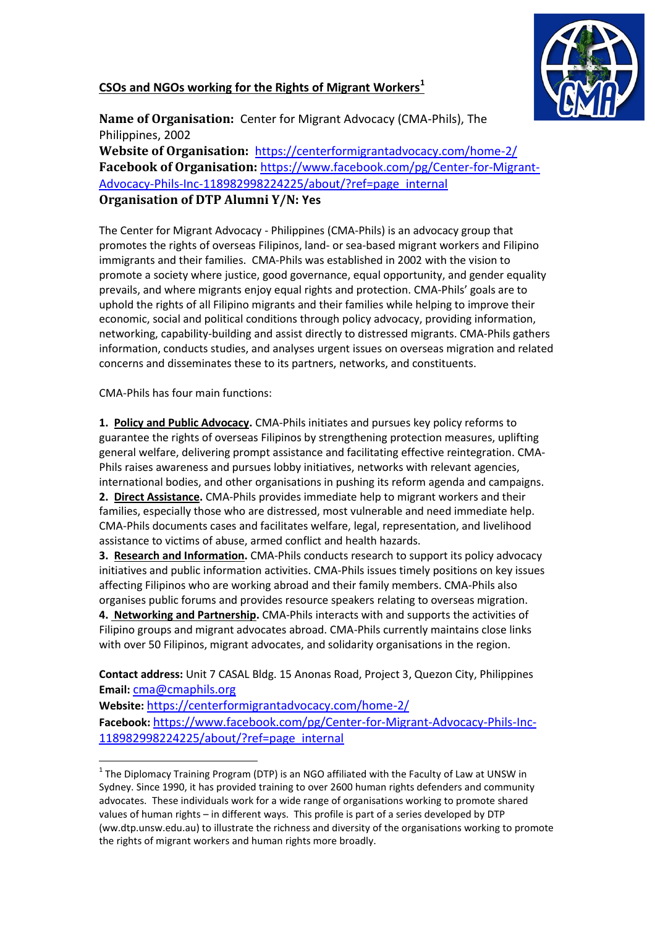## **CSOs and NGOs working for the Rights of Migrant Workers<sup>1</sup>**



**Name of Organisation:** Center for Migrant Advocacy (CMA-Phils), The Philippines, 2002

**Website of Organisation:** https://centerformigrantadvocacy.com/home-2/ **Facebook of Organisation:** https://www.facebook.com/pg/Center-for-Migrant-Advocacy-Phils-Inc-118982998224225/about/?ref=page\_internal **Organisation of DTP Alumni Y/N: Yes**

The Center for Migrant Advocacy - Philippines (CMA-Phils) is an advocacy group that promotes the rights of overseas Filipinos, land- or sea-based migrant workers and Filipino immigrants and their families. CMA-Phils was established in 2002 with the vision to promote a society where justice, good governance, equal opportunity, and gender equality prevails, and where migrants enjoy equal rights and protection. CMA-Phils' goals are to uphold the rights of all Filipino migrants and their families while helping to improve their economic, social and political conditions through policy advocacy, providing information, networking, capability-building and assist directly to distressed migrants. CMA-Phils gathers information, conducts studies, and analyses urgent issues on overseas migration and related concerns and disseminates these to its partners, networks, and constituents.

CMA-Phils has four main functions:

 $\overline{a}$ 

**1. [Policy and Public Advocacy.](https://centerformigrantadvocacy.wordpress.com/resources/policy-and-public-advocacy-resources/)** CMA-Phils initiates and pursues key policy reforms to guarantee the rights of overseas Filipinos by strengthening protection measures, uplifting general welfare, delivering prompt assistance and facilitating effective reintegration. CMA-Phils raises awareness and pursues lobby initiatives, networks with relevant agencies, international bodies, and other organisations in pushing its reform agenda and campaigns. **2. [Direct Assistance.](https://centerformigrantadvocacy.wordpress.com/support-help/)** CMA-Phils provides immediate help to migrant workers and their families, especially those who are distressed, most vulnerable and need immediate help. CMA-Phils documents cases and facilitates welfare, legal, representation, and livelihood assistance to victims of abuse, armed conflict and health hazards.

**3. [Research and Information.](https://centerformigrantadvocacy.wordpress.com/resources/latest-publications/)** CMA-Phils conducts research to support its policy advocacy initiatives and public information activities. CMA-Phils issues timely positions on key issues affecting Filipinos who are working abroad and their family members. CMA-Phils also organises public forums and provides resource speakers relating to overseas migration. **4. [Networking and Partnership.](https://centerformigrantadvocacy.wordpress.com/partners/)** CMA-Phils interacts with and supports the activities of Filipino groups and migrant advocates abroad. CMA-Phils currently maintains close links

**Contact address:** Unit 7 CASAL Bldg. 15 Anonas Road, Project 3, Quezon City, Philippines **Email:** cma@cmaphils.org

with over 50 Filipinos, migrant advocates, and solidarity organisations in the region.

**Website:** https://centerformigrantadvocacy.com/home-2/ **Facebook:** [https://www.facebook.com/pg/Center-for-Migrant-Advocacy-Phils-Inc-](https://www.facebook.com/pg/Center-for-Migrant-Advocacy-Phils-Inc-118982998224225/about/?ref=page_internal)[118982998224225/about/?ref=page\\_internal](https://www.facebook.com/pg/Center-for-Migrant-Advocacy-Phils-Inc-118982998224225/about/?ref=page_internal)

 $^1$  The Diplomacy Training Program (DTP) is an NGO affiliated with the Faculty of Law at UNSW in Sydney. Since 1990, it has provided training to over 2600 human rights defenders and community advocates. These individuals work for a wide range of organisations working to promote shared values of human rights – in different ways. This profile is part of a series developed by DTP (ww.dtp.unsw.edu.au) to illustrate the richness and diversity of the organisations working to promote the rights of migrant workers and human rights more broadly.